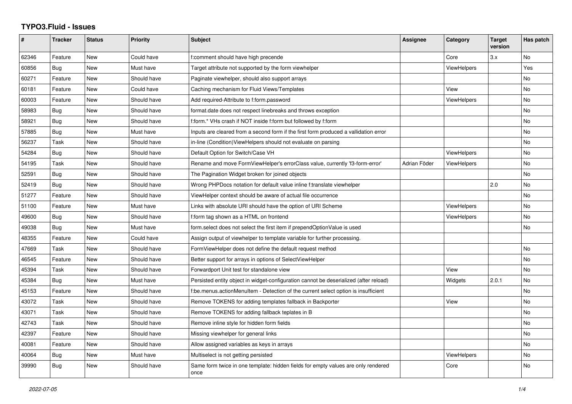## **TYPO3.Fluid - Issues**

| #     | <b>Tracker</b> | <b>Status</b> | <b>Priority</b> | <b>Subject</b>                                                                            | <b>Assignee</b> | Category           | <b>Target</b><br>version | Has patch |
|-------|----------------|---------------|-----------------|-------------------------------------------------------------------------------------------|-----------------|--------------------|--------------------------|-----------|
| 62346 | Feature        | <b>New</b>    | Could have      | f:comment should have high precende                                                       |                 | Core               | 3.x                      | No        |
| 60856 | Bug            | <b>New</b>    | Must have       | Target attribute not supported by the form viewhelper                                     |                 | ViewHelpers        |                          | Yes       |
| 60271 | Feature        | New           | Should have     | Paginate viewhelper, should also support arrays                                           |                 |                    |                          | No        |
| 60181 | Feature        | <b>New</b>    | Could have      | Caching mechanism for Fluid Views/Templates                                               |                 | View               |                          | No        |
| 60003 | Feature        | New           | Should have     | Add required-Attribute to f:form.password                                                 |                 | <b>ViewHelpers</b> |                          | No        |
| 58983 | Bug            | New           | Should have     | format.date does not respect linebreaks and throws exception                              |                 |                    |                          | <b>No</b> |
| 58921 | Bug            | New           | Should have     | f:form.* VHs crash if NOT inside f:form but followed by f:form                            |                 |                    |                          | No        |
| 57885 | Bug            | <b>New</b>    | Must have       | Inputs are cleared from a second form if the first form produced a vallidation error      |                 |                    |                          | <b>No</b> |
| 56237 | Task           | New           | Should have     | in-line (Condition) View Helpers should not evaluate on parsing                           |                 |                    |                          | No        |
| 54284 | Bug            | <b>New</b>    | Should have     | Default Option for Switch/Case VH                                                         |                 | <b>ViewHelpers</b> |                          | <b>No</b> |
| 54195 | Task           | <b>New</b>    | Should have     | Rename and move FormViewHelper's errorClass value, currently 'f3-form-error'              | Adrian Föder    | ViewHelpers        |                          | No        |
| 52591 | Bug            | New           | Should have     | The Pagination Widget broken for joined objects                                           |                 |                    |                          | No        |
| 52419 | Bug            | New           | Should have     | Wrong PHPDocs notation for default value inline f:translate viewhelper                    |                 |                    | 2.0                      | <b>No</b> |
| 51277 | Feature        | <b>New</b>    | Should have     | ViewHelper context should be aware of actual file occurrence                              |                 |                    |                          | <b>No</b> |
| 51100 | Feature        | New           | Must have       | Links with absolute URI should have the option of URI Scheme                              |                 | <b>ViewHelpers</b> |                          | No        |
| 49600 | Bug            | <b>New</b>    | Should have     | f:form tag shown as a HTML on frontend                                                    |                 | <b>ViewHelpers</b> |                          | No        |
| 49038 | Bug            | <b>New</b>    | Must have       | form.select does not select the first item if prependOptionValue is used                  |                 |                    |                          | No        |
| 48355 | Feature        | New           | Could have      | Assign output of viewhelper to template variable for further processing.                  |                 |                    |                          |           |
| 47669 | Task           | New           | Should have     | FormViewHelper does not define the default request method                                 |                 |                    |                          | No        |
| 46545 | Feature        | <b>New</b>    | Should have     | Better support for arrays in options of SelectViewHelper                                  |                 |                    |                          | <b>No</b> |
| 45394 | Task           | New           | Should have     | Forwardport Unit test for standalone view                                                 |                 | View               |                          | No        |
| 45384 | Bug            | <b>New</b>    | Must have       | Persisted entity object in widget-configuration cannot be deserialized (after reload)     |                 | Widgets            | 2.0.1                    | No        |
| 45153 | Feature        | <b>New</b>    | Should have     | f:be.menus.actionMenuItem - Detection of the current select option is insufficient        |                 |                    |                          | No        |
| 43072 | Task           | New           | Should have     | Remove TOKENS for adding templates fallback in Backporter                                 |                 | View               |                          | No        |
| 43071 | Task           | New           | Should have     | Remove TOKENS for adding fallback teplates in B                                           |                 |                    |                          | No        |
| 42743 | Task           | <b>New</b>    | Should have     | Remove inline style for hidden form fields                                                |                 |                    |                          | No        |
| 42397 | Feature        | New           | Should have     | Missing viewhelper for general links                                                      |                 |                    |                          | <b>No</b> |
| 40081 | Feature        | New           | Should have     | Allow assigned variables as keys in arrays                                                |                 |                    |                          | <b>No</b> |
| 40064 | Bug            | <b>New</b>    | Must have       | Multiselect is not getting persisted                                                      |                 | <b>ViewHelpers</b> |                          | <b>No</b> |
| 39990 | Bug            | <b>New</b>    | Should have     | Same form twice in one template: hidden fields for empty values are only rendered<br>once |                 | Core               |                          | No        |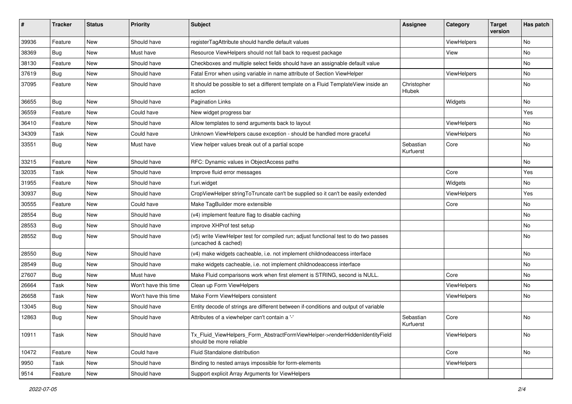| ∦     | <b>Tracker</b> | <b>Status</b> | Priority             | Subject                                                                                                     | <b>Assignee</b>        | Category           | <b>Target</b><br>version | Has patch |
|-------|----------------|---------------|----------------------|-------------------------------------------------------------------------------------------------------------|------------------------|--------------------|--------------------------|-----------|
| 39936 | Feature        | New           | Should have          | registerTagAttribute should handle default values                                                           |                        | ViewHelpers        |                          | <b>No</b> |
| 38369 | Bug            | New           | Must have            | Resource ViewHelpers should not fall back to request package                                                |                        | View               |                          | No        |
| 38130 | Feature        | New           | Should have          | Checkboxes and multiple select fields should have an assignable default value                               |                        |                    |                          | No        |
| 37619 | Bug            | New           | Should have          | Fatal Error when using variable in name attribute of Section ViewHelper                                     |                        | ViewHelpers        |                          | No        |
| 37095 | Feature        | New           | Should have          | It should be possible to set a different template on a Fluid TemplateView inside an<br>action               | Christopher<br>Hlubek  |                    |                          | No        |
| 36655 | Bug            | New           | Should have          | <b>Pagination Links</b>                                                                                     |                        | Widgets            |                          | No        |
| 36559 | Feature        | New           | Could have           | New widget progress bar                                                                                     |                        |                    |                          | Yes       |
| 36410 | Feature        | New           | Should have          | Allow templates to send arguments back to layout                                                            |                        | ViewHelpers        |                          | No        |
| 34309 | Task           | New           | Could have           | Unknown ViewHelpers cause exception - should be handled more graceful                                       |                        | <b>ViewHelpers</b> |                          | No        |
| 33551 | Bug            | New           | Must have            | View helper values break out of a partial scope                                                             | Sebastian<br>Kurfuerst | Core               |                          | No        |
| 33215 | Feature        | New           | Should have          | RFC: Dynamic values in ObjectAccess paths                                                                   |                        |                    |                          | No        |
| 32035 | Task           | <b>New</b>    | Should have          | Improve fluid error messages                                                                                |                        | Core               |                          | Yes       |
| 31955 | Feature        | New           | Should have          | f:uri.widget                                                                                                |                        | Widgets            |                          | No        |
| 30937 | Bug            | New           | Should have          | CropViewHelper stringToTruncate can't be supplied so it can't be easily extended                            |                        | ViewHelpers        |                          | Yes       |
| 30555 | Feature        | New           | Could have           | Make TagBuilder more extensible                                                                             |                        | Core               |                          | No        |
| 28554 | Bug            | New           | Should have          | (v4) implement feature flag to disable caching                                                              |                        |                    |                          | No        |
| 28553 | Bug            | New           | Should have          | improve XHProf test setup                                                                                   |                        |                    |                          | <b>No</b> |
| 28552 | Bug            | New           | Should have          | (v5) write ViewHelper test for compiled run; adjust functional test to do two passes<br>(uncached & cached) |                        |                    |                          | No        |
| 28550 | Bug            | New           | Should have          | (v4) make widgets cacheable, i.e. not implement childnodeaccess interface                                   |                        |                    |                          | No        |
| 28549 | Bug            | New           | Should have          | make widgets cacheable, i.e. not implement childnodeaccess interface                                        |                        |                    |                          | No        |
| 27607 | Bug            | New           | Must have            | Make Fluid comparisons work when first element is STRING, second is NULL.                                   |                        | Core               |                          | No        |
| 26664 | Task           | New           | Won't have this time | Clean up Form ViewHelpers                                                                                   |                        | ViewHelpers        |                          | <b>No</b> |
| 26658 | Task           | New           | Won't have this time | Make Form ViewHelpers consistent                                                                            |                        | ViewHelpers        |                          | No        |
| 13045 | Bug            | New           | Should have          | Entity decode of strings are different between if-conditions and output of variable                         |                        |                    |                          |           |
| 12863 | Bug            | New           | Should have          | Attributes of a viewhelper can't contain a '-'                                                              | Sebastian<br>Kurfuerst | Core               |                          | No        |
| 10911 | Task           | New           | Should have          | Tx_Fluid_ViewHelpers_Form_AbstractFormViewHelper->renderHiddenIdentityField<br>should be more reliable      |                        | ViewHelpers        |                          | No        |
| 10472 | Feature        | New           | Could have           | Fluid Standalone distribution                                                                               |                        | Core               |                          | No        |
| 9950  | Task           | New           | Should have          | Binding to nested arrays impossible for form-elements                                                       |                        | ViewHelpers        |                          |           |
| 9514  | Feature        | New           | Should have          | Support explicit Array Arguments for ViewHelpers                                                            |                        |                    |                          |           |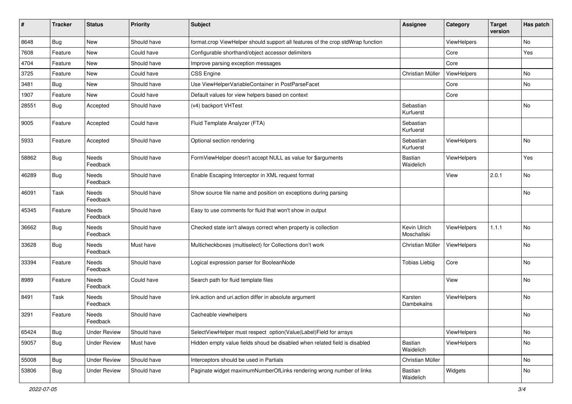| #     | <b>Tracker</b> | <b>Status</b>            | <b>Priority</b> | Subject                                                                         | <b>Assignee</b>             | Category           | <b>Target</b><br>version | Has patch |
|-------|----------------|--------------------------|-----------------|---------------------------------------------------------------------------------|-----------------------------|--------------------|--------------------------|-----------|
| 8648  | Bug            | New                      | Should have     | format.crop ViewHelper should support all features of the crop stdWrap function |                             | ViewHelpers        |                          | No        |
| 7608  | Feature        | New                      | Could have      | Configurable shorthand/object accessor delimiters                               |                             | Core               |                          | Yes       |
| 4704  | Feature        | New                      | Should have     | Improve parsing exception messages                                              |                             | Core               |                          |           |
| 3725  | Feature        | New                      | Could have      | CSS Engine                                                                      | Christian Müller            | ViewHelpers        |                          | No        |
| 3481  | Bug            | New                      | Should have     | Use ViewHelperVariableContainer in PostParseFacet                               |                             | Core               |                          | No        |
| 1907  | Feature        | New                      | Could have      | Default values for view helpers based on context                                |                             | Core               |                          |           |
| 28551 | Bug            | Accepted                 | Should have     | (v4) backport VHTest                                                            | Sebastian<br>Kurfuerst      |                    |                          | No        |
| 9005  | Feature        | Accepted                 | Could have      | Fluid Template Analyzer (FTA)                                                   | Sebastian<br>Kurfuerst      |                    |                          |           |
| 5933  | Feature        | Accepted                 | Should have     | Optional section rendering                                                      | Sebastian<br>Kurfuerst      | ViewHelpers        |                          | No        |
| 58862 | Bug            | Needs<br>Feedback        | Should have     | FormViewHelper doesn't accept NULL as value for \$arguments                     | Bastian<br>Waidelich        | <b>ViewHelpers</b> |                          | Yes       |
| 46289 | <b>Bug</b>     | Needs<br>Feedback        | Should have     | Enable Escaping Interceptor in XML request format                               |                             | View               | 2.0.1                    | No        |
| 46091 | Task           | <b>Needs</b><br>Feedback | Should have     | Show source file name and position on exceptions during parsing                 |                             |                    |                          | No        |
| 45345 | Feature        | Needs<br>Feedback        | Should have     | Easy to use comments for fluid that won't show in output                        |                             |                    |                          |           |
| 36662 | <b>Bug</b>     | Needs<br>Feedback        | Should have     | Checked state isn't always correct when property is collection                  | Kevin Ulrich<br>Moschallski | ViewHelpers        | 1.1.1                    | No        |
| 33628 | <b>Bug</b>     | <b>Needs</b><br>Feedback | Must have       | Multicheckboxes (multiselect) for Collections don't work                        | Christian Müller            | ViewHelpers        |                          | No        |
| 33394 | Feature        | Needs<br>Feedback        | Should have     | Logical expression parser for BooleanNode                                       | <b>Tobias Liebig</b>        | Core               |                          | No        |
| 8989  | Feature        | Needs<br>Feedback        | Could have      | Search path for fluid template files                                            |                             | View               |                          | No        |
| 8491  | Task           | Needs<br>Feedback        | Should have     | link.action and uri.action differ in absolute argument                          | Karsten<br>Dambekalns       | <b>ViewHelpers</b> |                          | No        |
| 3291  | Feature        | Needs<br>Feedback        | Should have     | Cacheable viewhelpers                                                           |                             |                    |                          | No        |
| 65424 | <b>Bug</b>     | <b>Under Review</b>      | Should have     | SelectViewHelper must respect option(Value Label)Field for arrays               |                             | ViewHelpers        |                          | No        |
| 59057 | <b>Bug</b>     | <b>Under Review</b>      | Must have       | Hidden empty value fields shoud be disabled when related field is disabled      | Bastian<br>Waidelich        | ViewHelpers        |                          | No        |
| 55008 | <b>Bug</b>     | <b>Under Review</b>      | Should have     | Interceptors should be used in Partials                                         | Christian Müller            |                    |                          | No        |
| 53806 | <b>Bug</b>     | <b>Under Review</b>      | Should have     | Paginate widget maximumNumberOfLinks rendering wrong number of links            | Bastian<br>Waidelich        | Widgets            |                          | No        |